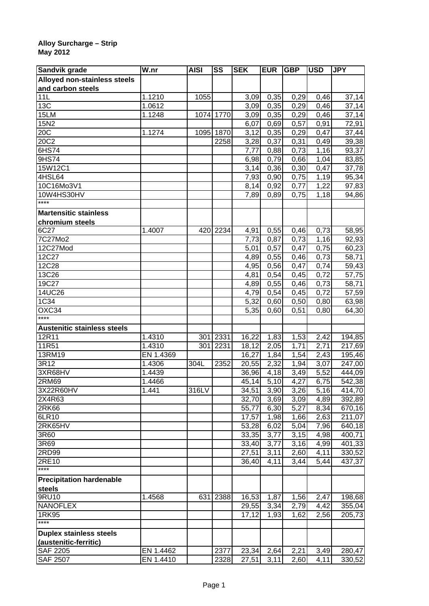## **Alloy Surcharge – Strip May 2012**

| Sandvik grade                       | W.nr                 | <b>AISI</b> | SS        | <b>SEK</b> | <b>EUR</b> | <b>GBP</b>   | <b>USD</b>         | <b>JPY</b> |
|-------------------------------------|----------------------|-------------|-----------|------------|------------|--------------|--------------------|------------|
| <b>Alloyed non-stainless steels</b> |                      |             |           |            |            |              |                    |            |
| and carbon steels                   |                      |             |           |            |            |              |                    |            |
| 11L                                 | 1.1210               | 1055        |           | 3,09       | 0,35       | 0,29         | 0,46               | 37,14      |
| 13C                                 | 1.0612               |             |           | 3,09       | 0,35       | 0,29         | 0,46               | 37,14      |
| 15LM                                | 1.1248               |             | 1074 1770 | 3,09       | 0,35       | 0,29         | 0,46               | 37,14      |
| 15N2                                |                      |             |           | 6,07       | 0,69       | 0,57         | 0,91               | 72,91      |
| 20C                                 | 1.1274               | 1095        | 1870      | 3,12       | 0,35       | 0,29         | 0,47               | 37,44      |
| 20C2                                |                      |             | 2258      | 3,28       | 0,37       | 0,31         | 0,49               | 39,38      |
| 6HS74                               |                      |             |           | 7,77       | 0,88       | 0,73         | 1,16               | 93,37      |
| 9HS74                               |                      |             |           | 6,98       | 0,79       | 0,66         | 1,04               | 83,85      |
| 15W12C1                             |                      |             |           | 3,14       | 0,36       | 0,30         | 0,47               | 37,78      |
| 4HSL64                              |                      |             |           | 7,93       | 0,90       | 0,75         | 1,19               | 95,34      |
| 10C16Mo3V1                          |                      |             |           | 8,14       | 0,92       | 0,77         | 1,22               | 97,83      |
| 10W4HS30HV                          |                      |             |           | 7,89       | 0,89       | 0,75         | 1,18               | 94,86      |
| ****                                |                      |             |           |            |            |              |                    |            |
| <b>Martensitic stainless</b>        |                      |             |           |            |            |              |                    |            |
| chromium steels                     |                      |             |           |            |            |              |                    |            |
| 6C27                                | $\overline{1}$ .4007 | 420         | 2234      | 4,91       | 0,55       | 0,46         | 0,73               | 58,95      |
| 7C27Mo2                             |                      |             |           | 7,73       | 0,87       | 0,73         | 1,16               | 92,93      |
| 12C27Mod                            |                      |             |           | 5,01       | 0,57       | 0,47         | 0,75               | 60,23      |
| 12C27                               |                      |             |           | 4,89       | 0,55       | 0,46         | 0,73               | 58,71      |
| 12C28                               |                      |             |           | 4,95       | 0,56       | 0,47         | 0,74               | 59,43      |
| 13C26                               |                      |             |           | 4,81       | 0,54       | 0,45         | 0,72               | 57,75      |
| 19C27                               |                      |             |           | 4,89       | 0,55       | 0,46         | 0,73               | 58,71      |
| 14UC26                              |                      |             |           | 4,79       | 0,54       | 0,45         | 0,72               | 57,59      |
| 1C34                                |                      |             |           | 5,32       | 0,60       | 0,50         | 0,80               | 63,98      |
| OXC34                               |                      |             |           | 5,35       | 0,60       | 0,51         | 0,80               | 64,30      |
| ****                                |                      |             |           |            |            |              |                    |            |
| <b>Austenitic stainless steels</b>  |                      |             |           |            |            |              |                    |            |
| 12R11                               | 1.4310               | 301         | 2331      | 16,22      | 1,83       | 1,53         | 2,42               | 194,85     |
| 11R51                               | 1.4310               | 301         | 2231      | 18,12      | 2,05       | 1,71         | 2,71               | 217,69     |
| 13RM19                              | EN 1.4369            |             |           | 16,27      | 1,84       | 1,54         | 2,43               | 195,46     |
| 3R12                                | 1.4306               | 304L        | 2352      | 20,55      | 2,32       | 1,94         | 3,07               | 247,00     |
| 3XR68HV                             | 1.4439               |             |           | 36,96      | 4,18       | 3,49         | 5,52               | 444,09     |
| 2RM69                               | 1.4466               |             |           | 45, 14     | 5,10       | 4,27         | 6,75               | 542,38     |
| 3X22R60HV                           | 1.441                | 316LV       |           | 34,51      | 3,90       | 3,26         | 5,16               | 414,70     |
| 2X4R63                              |                      |             |           | 32,70      | 3,69       | 3,09         | 4,89               | 392,89     |
| <b>2RK66</b>                        |                      |             |           | 55,77      | 6,30       | 5,27         | 8,34               | 670,16     |
| 6LR10                               |                      |             |           | 17,57      | 1,98       | 1,66         | 2,63               | 211,07     |
| 2RK65HV                             |                      |             |           | 53,28      | 6,02       | 5,04         | $\overline{7}$ ,96 | 640,18     |
| 3R60                                |                      |             |           | 33,35      | 3,77       | 3,15         | 4,98               | 400,71     |
| 3R69                                |                      |             |           | 33,40      | 3,77       | 3,16         | 4,99               | 401,33     |
| 2RD99                               |                      |             |           | 27,51      | 3,11       | 2,60         | 4,11               | 330,52     |
| 2RE10                               |                      |             |           | 36,40      | 4,11       | 3,44         | 5,44               | 437,37     |
| $***$                               |                      |             |           |            |            |              |                    |            |
|                                     |                      |             |           |            |            |              |                    |            |
| <b>Precipitation hardenable</b>     |                      |             |           |            |            |              |                    |            |
| steels<br>9RU10                     | 1.4568               | 631         | 2388      | 16,53      | 1,87       |              | 2,47               | 198,68     |
| <b>NANOFLEX</b>                     |                      |             |           | 29,55      |            | 1,56<br>2,79 | 4,42               |            |
| 1RK95                               |                      |             |           |            | 3,34       |              |                    | 355,04     |
| $***$                               |                      |             |           | 17,12      | 1,93       | 1,62         | 2,56               | 205,73     |
|                                     |                      |             |           |            |            |              |                    |            |
| <b>Duplex stainless steels</b>      |                      |             |           |            |            |              |                    |            |
| (austenitic-ferritic)               |                      |             |           |            |            |              |                    |            |
| <b>SAF 2205</b>                     | EN 1.4462            |             | 2377      | 23,34      | 2,64       | 2,21         | 3,49               | 280,47     |
| <b>SAF 2507</b>                     | EN 1.4410            |             | 2328      | 27,51      | 3,11       | 2,60         | 4,11               | 330,52     |